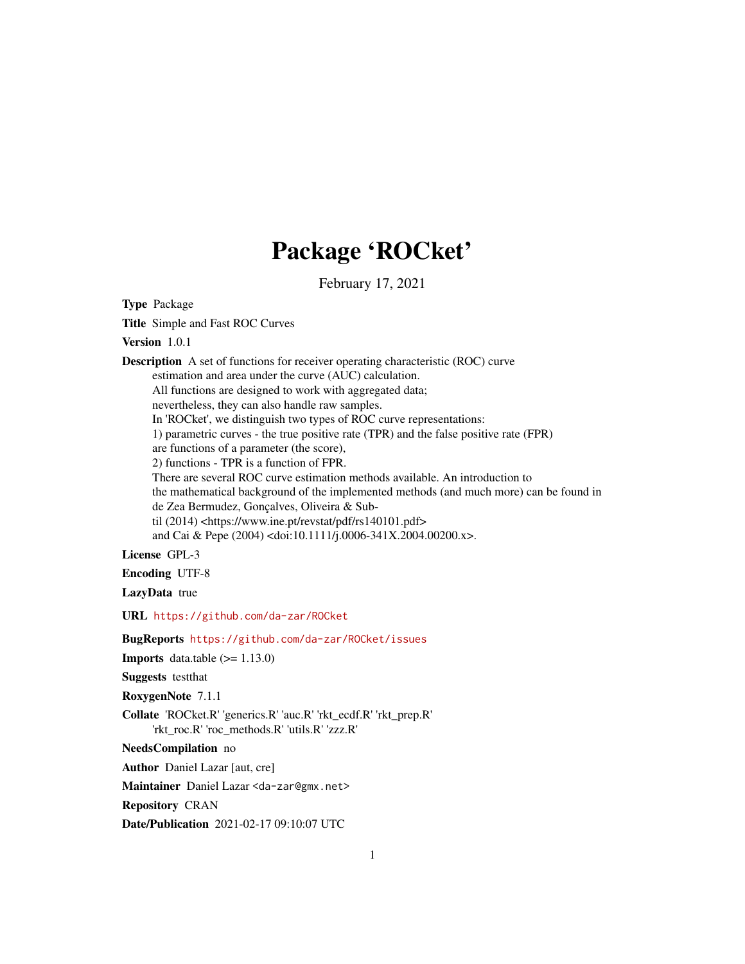# Package 'ROCket'

February 17, 2021

<span id="page-0-0"></span>Type Package Title Simple and Fast ROC Curves Version 1.0.1 Description A set of functions for receiver operating characteristic (ROC) curve estimation and area under the curve (AUC) calculation. All functions are designed to work with aggregated data; nevertheless, they can also handle raw samples. In 'ROCket', we distinguish two types of ROC curve representations: 1) parametric curves - the true positive rate (TPR) and the false positive rate (FPR) are functions of a parameter (the score), 2) functions - TPR is a function of FPR. There are several ROC curve estimation methods available. An introduction to the mathematical background of the implemented methods (and much more) can be found in de Zea Bermudez, Gonçalves, Oliveira & Subtil (2014) <https://www.ine.pt/revstat/pdf/rs140101.pdf> and Cai & Pepe (2004) <doi:10.1111/j.0006-341X.2004.00200.x>. License GPL-3 Encoding UTF-8 LazyData true URL <https://github.com/da-zar/ROCket> BugReports <https://github.com/da-zar/ROCket/issues> **Imports** data.table  $(>= 1.13.0)$ Suggests testthat RoxygenNote 7.1.1 Collate 'ROCket.R' 'generics.R' 'auc.R' 'rkt\_ecdf.R' 'rkt\_prep.R' 'rkt\_roc.R' 'roc\_methods.R' 'utils.R' 'zzz.R' NeedsCompilation no Author Daniel Lazar [aut, cre]

Maintainer Daniel Lazar <da-zar@gmx.net>

Repository CRAN

Date/Publication 2021-02-17 09:10:07 UTC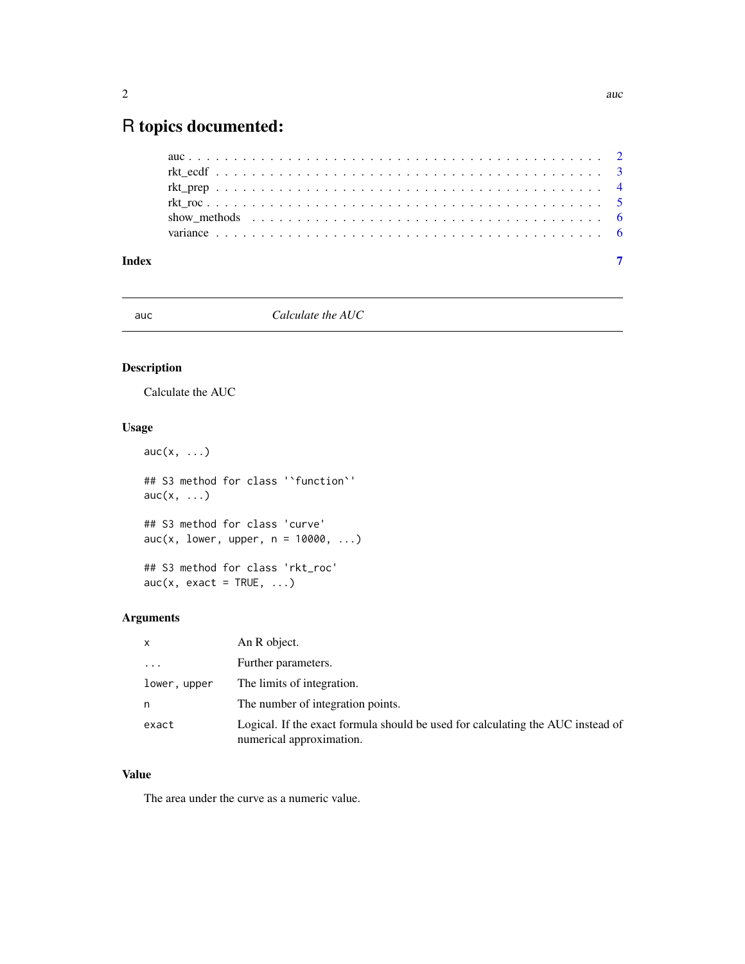# <span id="page-1-0"></span>R topics documented:

|       | show methods $\ldots \ldots \ldots \ldots \ldots \ldots \ldots \ldots \ldots \ldots \ldots \ldots$ |  |
|-------|----------------------------------------------------------------------------------------------------|--|
|       |                                                                                                    |  |
| Index |                                                                                                    |  |

# auc *Calculate the AUC*

# Description

Calculate the AUC

# Usage

```
auc(x, \ldots)## S3 method for class '`function`'
auc(x, \ldots)## S3 method for class 'curve'
auc(x, lower, upper, n = 10000, ...)## S3 method for class 'rkt_roc'
auc(x, exact = TRUE, ...)
```
# Arguments

| $\mathsf{x}$            | An R object.                                                                                                |
|-------------------------|-------------------------------------------------------------------------------------------------------------|
| $\cdot$ $\cdot$ $\cdot$ | Further parameters.                                                                                         |
| lower, upper            | The limits of integration.                                                                                  |
| n                       | The number of integration points.                                                                           |
| exact                   | Logical. If the exact formula should be used for calculating the AUC instead of<br>numerical approximation. |

# Value

The area under the curve as a numeric value.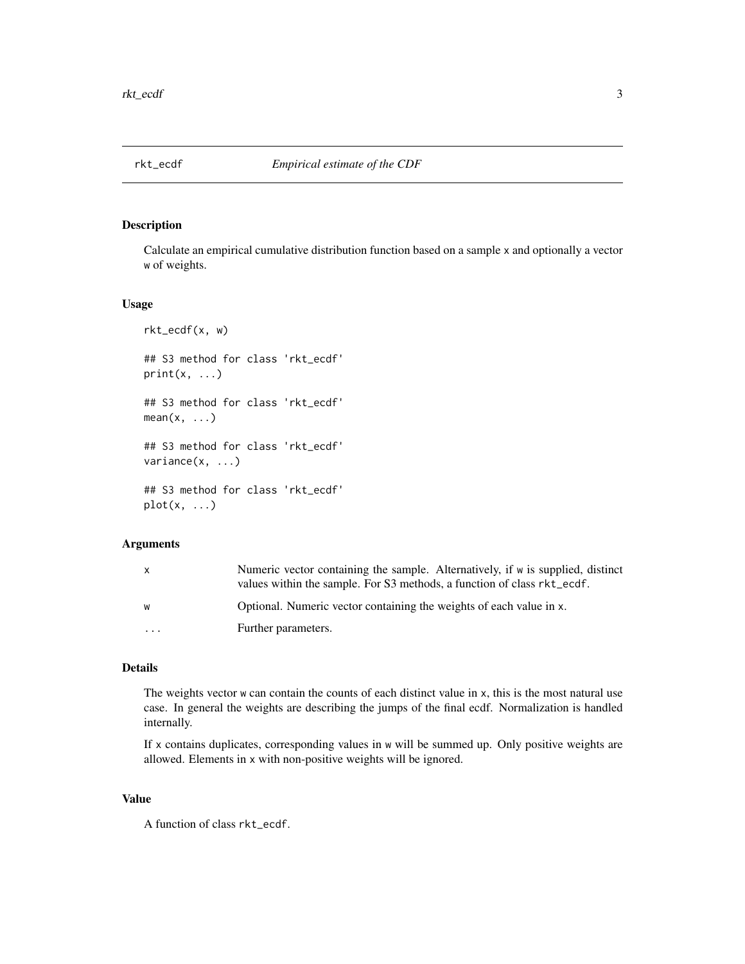<span id="page-2-0"></span>

#### <span id="page-2-1"></span>Description

Calculate an empirical cumulative distribution function based on a sample x and optionally a vector w of weights.

#### Usage

```
rkt_ecdf(x, w)
## S3 method for class 'rkt_ecdf'
print(x, \ldots)## S3 method for class 'rkt_ecdf'
mean(x, \ldots)## S3 method for class 'rkt_ecdf'
variance(x, ...)
## S3 method for class 'rkt_ecdf'
plot(x, \ldots)
```
### Arguments

| X        | Numeric vector containing the sample. Alternatively, if w is supplied, distinct<br>values within the sample. For S3 methods, a function of class rkt_ecdf. |
|----------|------------------------------------------------------------------------------------------------------------------------------------------------------------|
| W        | Optional. Numeric vector containing the weights of each value in x.                                                                                        |
| $\cdots$ | Further parameters.                                                                                                                                        |

#### Details

The weights vector w can contain the counts of each distinct value in x, this is the most natural use case. In general the weights are describing the jumps of the final ecdf. Normalization is handled internally.

If x contains duplicates, corresponding values in w will be summed up. Only positive weights are allowed. Elements in x with non-positive weights will be ignored.

#### Value

A function of class rkt\_ecdf.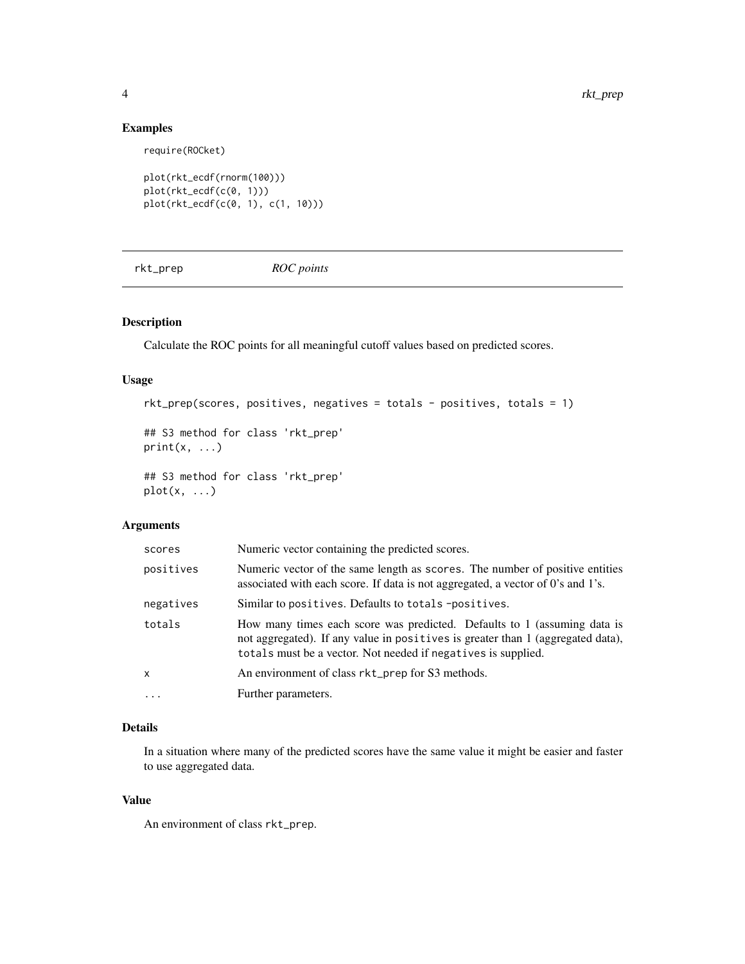# Examples

require(ROCket)

```
plot(rkt_ecdf(rnorm(100)))
plot(rkt_ecdf(c(0, 1)))
plot(rkt_ecdf(c(0, 1), c(1, 10)))
```
rkt\_prep *ROC points*

# Description

Calculate the ROC points for all meaningful cutoff values based on predicted scores.

# Usage

```
rkt_prep(scores, positives, negatives = totals - positives, totals = 1)
```
## S3 method for class 'rkt\_prep'  $print(x, \ldots)$ 

## S3 method for class 'rkt\_prep'  $plot(x, \ldots)$ 

# Arguments

| scores    | Numeric vector containing the predicted scores.                                                                                                                                                                              |
|-----------|------------------------------------------------------------------------------------------------------------------------------------------------------------------------------------------------------------------------------|
| positives | Numeric vector of the same length as scores. The number of positive entities<br>associated with each score. If data is not aggregated, a vector of 0's and 1's.                                                              |
| negatives | Similar to positives. Defaults to totals -positives.                                                                                                                                                                         |
| totals    | How many times each score was predicted. Defaults to 1 (assuming data is<br>not aggregated). If any value in positives is greater than 1 (aggregated data),<br>totals must be a vector. Not needed if negatives is supplied. |
| x         | An environment of class rkt_prep for S3 methods.                                                                                                                                                                             |
| $\cdots$  | Further parameters.                                                                                                                                                                                                          |

# Details

In a situation where many of the predicted scores have the same value it might be easier and faster to use aggregated data.

#### Value

An environment of class rkt\_prep.

<span id="page-3-0"></span>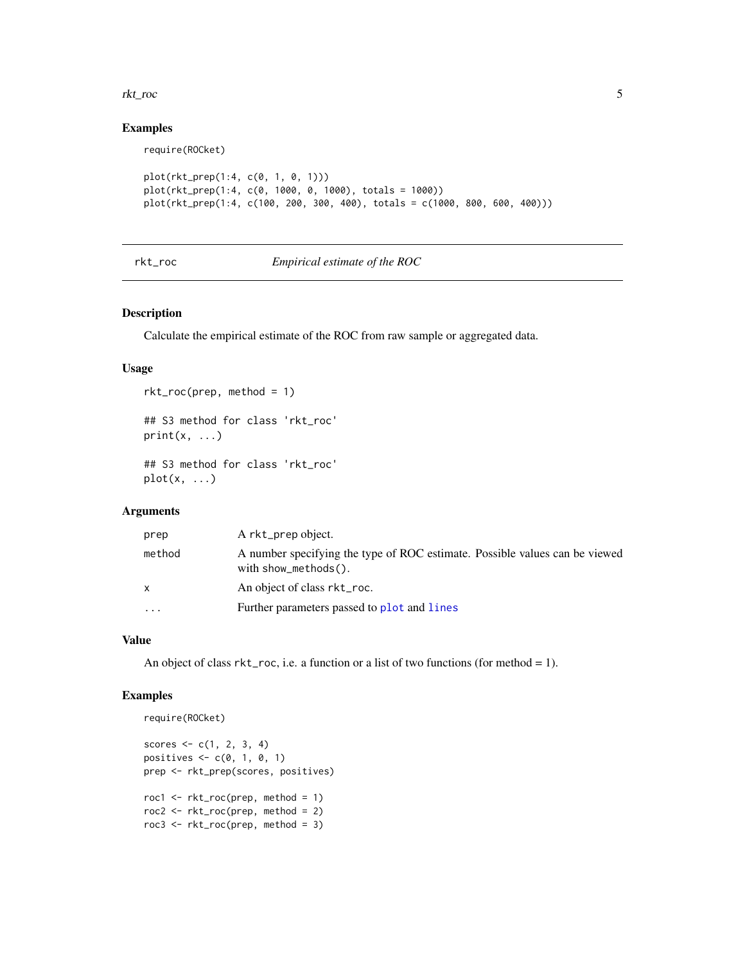#### <span id="page-4-0"></span>rkt\_roc 5

# Examples

require(ROCket)

```
plot(rkt_prep(1:4, c(0, 1, 0, 1)))
plot(rkt_prep(1:4, c(0, 1000, 0, 1000), totals = 1000))
plot(rkt_prep(1:4, c(100, 200, 300, 400), totals = c(1000, 800, 600, 400)))
```
# rkt\_roc *Empirical estimate of the ROC*

#### Description

Calculate the empirical estimate of the ROC from raw sample or aggregated data.

### Usage

```
rkt_roc(prep, method = 1)
## S3 method for class 'rkt_roc'
print(x, \ldots)## S3 method for class 'rkt_roc'
```

```
plot(x, \ldots)
```
# Arguments

| prep      | A rkt_prep object.                                                                                      |
|-----------|---------------------------------------------------------------------------------------------------------|
| method    | A number specifying the type of ROC estimate. Possible values can be viewed<br>with $show\_methods()$ . |
| x         | An object of class rkt_roc.                                                                             |
| $\ddotsc$ | Further parameters passed to plot and lines                                                             |

# Value

An object of class  $rk$  t\_roc, i.e. a function or a list of two functions (for method = 1).

# Examples

```
require(ROCket)
scores \leq c(1, 2, 3, 4)positives \leq c(0, 1, 0, 1)prep <- rkt_prep(scores, positives)
roc1 <- rkt_roc(prep, method = 1)
roc2 <- rkt_roc(prep, method = 2)
roc3 <- rkt_roc(prep, method = 3)
```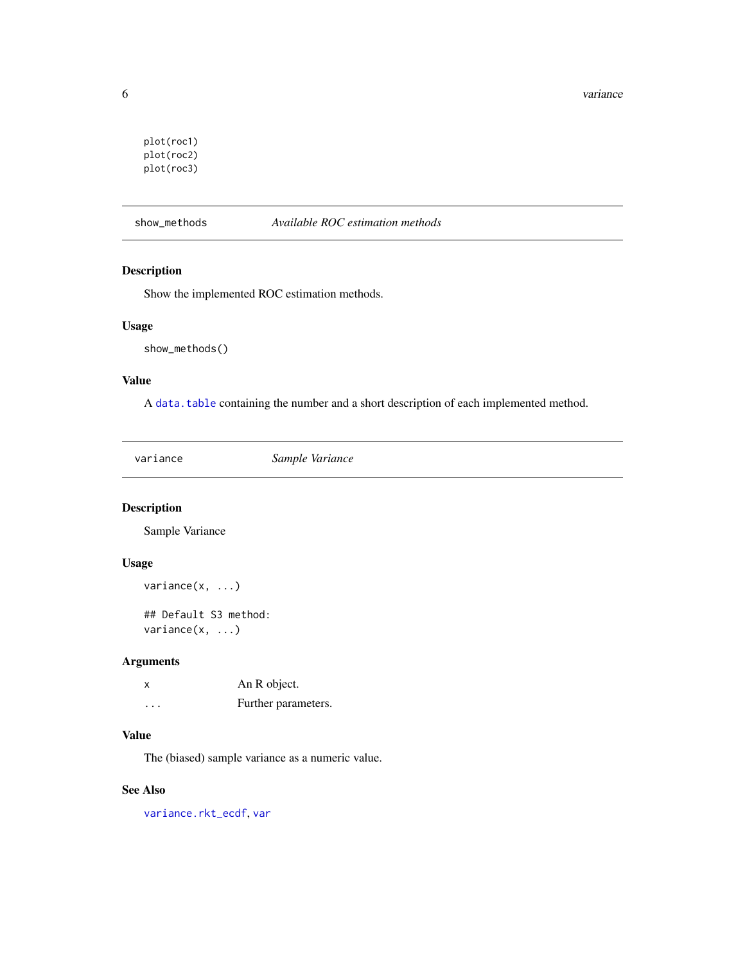```
plot(roc1)
plot(roc2)
plot(roc3)
```
show\_methods *Available ROC estimation methods*

# Description

Show the implemented ROC estimation methods.

# Usage

show\_methods()

#### Value

A [data.table](#page-0-0) containing the number and a short description of each implemented method.

variance *Sample Variance*

# Description

Sample Variance

# Usage

```
variance(x, ...)
## Default S3 method:
```
variance(x, ...)

# Arguments

| X                       | An R object.        |
|-------------------------|---------------------|
| $\cdot$ $\cdot$ $\cdot$ | Further parameters. |

### Value

The (biased) sample variance as a numeric value.

#### See Also

[variance.rkt\\_ecdf](#page-2-1), [var](#page-0-0)